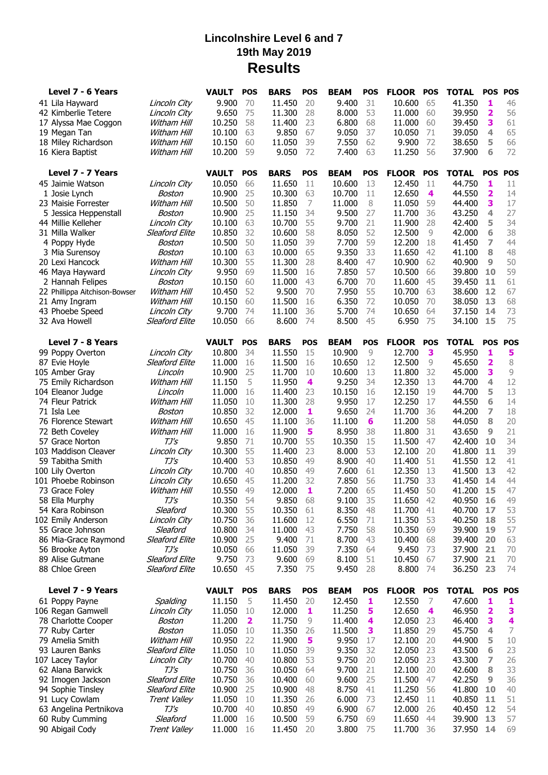## **Lincolnshire Level 6 and 7 19th May 2019 Results**

| Level 7 - 6 Years                  |                                       | <b>VAULT</b>     | <b>POS</b>   | <b>BARS</b>      | <b>POS</b> | <b>BEAM</b>     | <b>POS</b> | <b>FLOOR</b>     | <b>POS</b> | <b>TOTAL</b>     | <b>POS</b> | <b>POS</b>    |
|------------------------------------|---------------------------------------|------------------|--------------|------------------|------------|-----------------|------------|------------------|------------|------------------|------------|---------------|
| 41 Lila Hayward                    | Lincoln City                          | 9.900            | 70           | 11.450           | 20         | 9.400           | 31         | 10.600           | 65         | 41.350           | 1          | 46            |
| 42 Kimberlie Tetere                | Lincoln City                          | 9.650            | 75           | 11.300           | 28         | 8.000           | 53         | 11.000           | 60         | 39.950           | 2          | 56            |
| 17 Alyssa Mae Coggon               | Witham Hill                           | 10.250           | 58           | 11.400           | 23         | 6.800           | 68         | 11.000           | 60         | 39.450           | 3          | 61            |
| 19 Megan Tan                       | Witham Hill                           | 10.100           | 63           | 9.850            | 67         | 9.050           | 37         | 10.050           | 71         | 39.050           | 4          | 65            |
| 18 Miley Richardson                | Witham Hill                           | 10.150           | 60           | 11.050           | 39         | 7.550           | 62         | 9.900            | 72         | 38.650           | 5          | 66            |
| 16 Kiera Baptist                   | Witham Hill                           | 10.200           | 59           | 9.050            | 72         | 7.400           | 63         | 11.250           | 56         | 37.900           | 6          | 72            |
| Level 7 - 7 Years                  |                                       | <b>VAULT</b>     | <b>POS</b>   | <b>BARS</b>      | <b>POS</b> | <b>BEAM</b>     | <b>POS</b> | FLOOR POS        |            | <b>TOTAL</b>     | <b>POS</b> | <b>POS</b>    |
| 45 Jaimie Watson                   | Lincoln City                          | 10.050           | 66           | 11.650           | 11         | 10.600          | 13         | 12,450           | 11         | 44.750           | 1          | 11            |
| 1 Josie Lynch                      | Boston                                | 10,900           | 25           | 10.300           | 63         | 10.700          | 11         | 12.650           | 4          | 44.550           | 2          | 14            |
| 23 Maisie Forrester                | Witham Hill                           | 10.500           | 50           | 11.850           | 7          | 11.000          | 8          | 11.050           | 59         | 44,400           | 3          | 17            |
| 5 Jessica Heppenstall              | Boston                                | 10.900           | 25           | 11.150           | 34         | 9.500           | 27         | 11.700           | 36         | 43.250           | 4          | 27            |
| 44 Millie Kelleher                 | Lincoln City                          | 10.100           | 63           | 10.700           | 55         | 9.700           | 21         | 11.900           | 28         | 42.400           | 5          | 34            |
| 31 Milla Walker                    | <b>Sleaford Elite</b>                 | 10.850           | 32           | 10.600           | 58         | 8.050           | 52         | 12.500           | 9          | 42.000           | 6          | 38            |
| 4 Poppy Hyde                       | Boston                                | 10.500           | 50           | 11.050           | 39         | 7.700           | 59         | 12.200           | 18         | 41.450           | 7          | 44            |
| 3 Mia Surensoy                     | Boston                                | 10.100           | 63           | 10.000           | 65         | 9.350           | 33         | 11.650           | 42         | 41.100           | 8          | 48            |
| 20 Lexi Hancock                    | Witham Hill                           | 10.300           | 55           | 11.300           | 28         | 8.400           | 47         | 10.900           | 62         | 40.900           | 9          | 50            |
| 46 Maya Hayward                    | Lincoln City                          | 9.950            | 69           | 11.500           | 16         | 7.850           | 57         | 10.500           | 66         | 39.800           | 10         | 59            |
| 2 Hannah Felipes                   | Boston                                | 10.150           | 60           | 11,000           | 43         | 6.700           | 70         | 11.600           | 45         | 39.450           | 11         | 61            |
| 22 Phillippa Aitchison-Bowser      | Witham Hill                           | 10.450           | 52           | 9.500            | 70         | 7.950           | 55         | 10.700           | 63         | 38.600           | 12         | 67            |
| 21 Amy Ingram                      | Witham Hill                           | 10.150           | 60           | 11.500           | 16         | 6.350           | 72         | 10.050           | 70         | 38.050           | 13         | 68            |
| 43 Phoebe Speed                    | Lincoln City<br><b>Sleaford Elite</b> | 9.700            | 74           | 11.100           | 36         | 5.700<br>8.500  | 74         | 10.650           | 64         | 37.150           | 14         | 73<br>75      |
| 32 Ava Howell                      |                                       | 10.050           | 66           | 8.600            | 74         |                 | 45         | 6.950            | 75         | 34.100           | 15         |               |
| Level 7 - 8 Years                  |                                       | <b>VAULT</b>     | <b>POS</b>   | <b>BARS</b>      | <b>POS</b> | <b>BEAM</b>     | <b>POS</b> | <b>FLOOR</b>     | <b>POS</b> | <b>TOTAL</b>     | <b>POS</b> | <b>POS</b>    |
| 99 Poppy Overton                   | Lincoln City                          | 10.800           | 34           | 11.550           | 15         | 10.900          | 9          | 12.700           | 3          | 45.950           | 1          | 5             |
| 87 Evie Hoyle                      | <b>Sleaford Elite</b>                 | 11.000           | 16           | 11.500           | 16         | 10.650          | 12         | 12.500           | 9          | 45.650           | 2          | 8             |
| 105 Amber Gray                     | Lincoln                               | 10.900           | 25           | 11.700           | 10         | 10.600          | 13         | 11.800           | 32         | 45,000           | 3          | $\mathcal{G}$ |
| 75 Emily Richardson                | Witham Hill                           | 11.150           | 5            | 11.950           | 4          | 9.250           | 34         | 12.350           | 13         | 44.700           | 4          | 12            |
| 104 Eleanor Judge                  | Lincoln                               | 11,000           | 16           | 11,400           | 23         | 10.150          | 16         | 12.150           | 19         | 44.700           | 5          | 13            |
| 74 Fleur Patrick                   | Witham Hill                           | 11.050           | 10           | 11.300           | 28         | 9.950           | 17         | 12.250           | 17         | 44.550           | 6          | 14            |
| 71 Isla Lee                        | Boston                                | 10.850           | 32           | 12.000           | 1          | 9.650           | 24         | 11.700           | 36         | 44.200           | 7          | 18            |
| 76 Florence Stewart                | Witham Hill<br>Witham Hill            | 10.650           | 45<br>16     | 11.100           | 36<br>5    | 11.100<br>8.950 | 6<br>38    | 11.200           | 58<br>31   | 44.050           | 8<br>9     | 20<br>21      |
| 72 Beth Coveley<br>57 Grace Norton | TJ's                                  | 11.000<br>9.850  | 71           | 11.900<br>10.700 | 55         | 10.350          | 15         | 11.800<br>11.500 | 47         | 43.650<br>42.400 | 10         | 34            |
| 103 Maddison Cleaver               | Lincoln City                          | 10.300           | 55           | 11.400           | 23         | 8.000           | 53         | 12.100           | 20         | 41.800           | 11         | 39            |
| 59 Tabitha Smith                   | $TJ\mathsf{S}$                        | 10.400           | 53           | 10.850           | 49         | 8.900           | 40         | 11.400           | 51         | 41.550           | 12         | 41            |
| 100 Lily Overton                   | Lincoln City                          | 10.700           | 40           | 10.850           | 49         | 7.600           | 61         | 12.350           | 13         | 41.500           | 13         | 42            |
| 101 Phoebe Robinson                | Lincoln City                          | 10.650           | 45           | 11.200           | 32         | 7.850           | 56         | 11.750           | 33         | 41.450           | 14         | 44            |
| 73 Grace Foley                     | Witham Hill                           | 10.550           | 49           | 12.000           | 1          | 7.200           | 65         | 11.450           | 50         | 41.200           | 15         | 47            |
| 58 Ella Murphy                     | TJ's                                  | 10.350           | 54           | 9.850            | 68         | 9.100           | 35         | 11.650           | 42         | 40.950           | 16         | 49            |
| 54 Kara Robinson                   | Sleaford                              | 10.300           | 55           | 10.350           | 61         | 8.350           | 48         | 11.700           | 41         | 40.700           | 17         | 53            |
| 102 Emily Anderson                 | Lincoln City                          | 10.750           | 36           | 11.600           | 12         | 6.550           | 71         | 11.350           | 53         | 40.250           | 18         | 55            |
| 55 Grace Johnson                   | Sleaford                              | 10.800           | 34           | 11.000           | 43         | 7.750           | 58         | 10.350           | 69         | 39.900           | 19         | 57            |
| 86 Mia-Grace Raymond               | <b>Sleaford Elite</b>                 | 10.900           | 25           | 9.400            | 71         | 8.700           | 43         | 10.400           | 68         | 39.400           | 20         | 63            |
| 56 Brooke Ayton                    | $TJ\mathsf{S}$                        | 10.050           | 66           | 11.050           | 39         | 7.350           | 64         | 9.450            | 73         | 37.900           | 21         | 70            |
| 89 Alise Gutmane                   | <b>Sleaford Elite</b>                 | 9.750            | 73           | 9.600            | 69         | 8.100           | 51         | 10.450           | 67         | 37.900           | 21         | 70            |
| 88 Chloe Green                     | <b>Sleaford Elite</b>                 | 10.650           | 45           | 7.350            | 75         | 9.450           | 28         | 8.800            | -74        | 36.250           | 23         | 74            |
| Level 7 - 9 Years                  |                                       | <b>VAULT</b>     | <b>POS</b>   | <b>BARS</b>      | <b>POS</b> | <b>BEAM</b>     | <b>POS</b> | FLOOR POS        |            | <b>TOTAL</b>     | <b>POS</b> | <b>POS</b>    |
| 61 Poppy Payne                     | Spalding                              | 11.150           | 5            | 11.450           | 20         | 12.450          | 1          | 12.550           | 7          | 47.600           | 1          | 1             |
| 106 Regan Gamwell                  | Lincoln City                          | 11.050           | 10           | 12.000           | 1          | 11.250          | 5          | 12.650           | 4          | 46.950           | 2          | 3             |
| 78 Charlotte Cooper                | Boston                                | 11.200           | $\mathbf{2}$ | 11.750           | 9          | 11.400          | 4          | 12.050           | 23         | 46.400           | 3          | 4             |
| 77 Ruby Carter                     | Boston                                | 11.050           | 10           | 11.350           | 26         | 11.500          | 3          | 11.850           | 29         | 45.750           | 4          | 7             |
| 79 Amelia Smith                    | Witham Hill                           | 10.950           | 22           | 11.900           | 5          | 9.950           | 17         | 12.100           | 20         | 44.900           | 5          | 10            |
| 93 Lauren Banks                    | <b>Sleaford Elite</b>                 | 11.050           | 10           | 11.050           | 39         | 9.350           | 32         | 12.050           | 23         | 43.500           | 6          | 23            |
| 107 Lacey Taylor                   | Lincoln City                          | 10.700           | 40           | 10.800           | 53         | 9.750           | 20         | 12.050           | 23         | 43.300           | 7          | 26            |
| 62 Alana Barwick                   | $TJ\mathsf{S}$                        | 10.750           | 36           | 10.050           | 64         | 9.700           | 21         | 12.100           | 20         | 42.600           | 8          | 33            |
| 92 Imogen Jackson                  | <b>Sleaford Elite</b>                 | 10.750           | 36           | 10.400           | 60         | 9.600           | 25         | 11.500           | 47         | 42.250           | 9          | 36            |
| 94 Sophie Tinsley                  | <b>Sleaford Elite</b>                 | 10.900           | 25           | 10.900           | 48         | 8.750           | 41         | 11.250           | 56         | 41.800           | 10         | 40            |
| 91 Lucy Cowlam                     | Trent Valley                          | 11.050           | 10           | 11.350           | 26         | 6.000           | 73         | 12.450           | 11         | 40.850           | 11         | 51            |
| 63 Angelina Pertnikova             | $TJ\mathsf{S}$                        | 10.700           | 40           | 10.850           | 49         | 6.900           | 67         | 12.000           | 26         | 40.450           | 12<br>13   | 54            |
| 60 Ruby Cumming                    | Sleaford                              | 11.000<br>11.000 | 16<br>16     | 10.500           | 59<br>20   | 6.750<br>3.800  | 69<br>75   | 11.650<br>11.700 | 44<br>36   | 39.900<br>37.950 | 14         | 57<br>69      |
| 90 Abigail Cody                    | Trent Valley                          |                  |              | 11.450           |            |                 |            |                  |            |                  |            |               |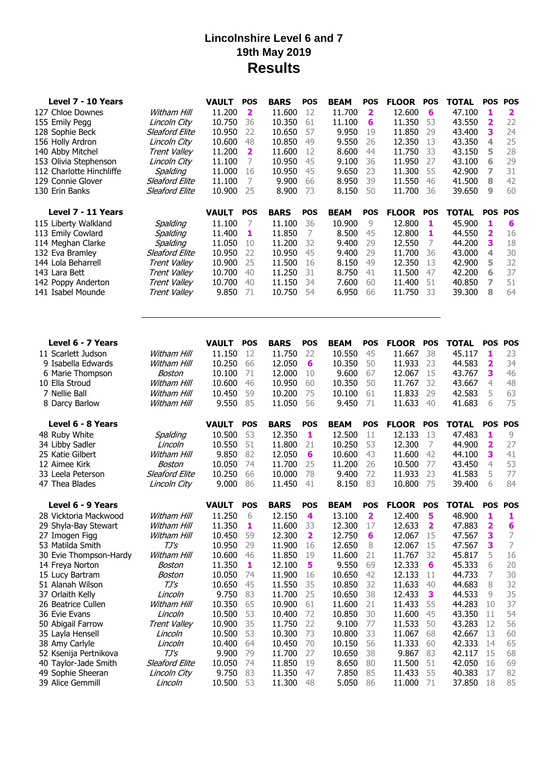## **Lincolnshire Level 6 and 7 19th May 2019 Results**

| Level 7 - 10 Years                  |                       | <b>VAULT</b><br><b>POS</b>  | <b>BARS</b><br><b>POS</b>         | <b>BEAM</b><br><b>POS</b> | <b>FLOOR</b><br><b>POS</b>  | <b>TOTAL</b><br><b>POS</b><br><b>POS</b> |
|-------------------------------------|-----------------------|-----------------------------|-----------------------------------|---------------------------|-----------------------------|------------------------------------------|
| 127 Chloe Downes                    | Witham Hill           | 11.200<br>2                 | 11.600<br>12                      | 11.700<br>2               | 12.600<br>6                 | 47.100<br>1<br>$\overline{\mathbf{2}}$   |
| 155 Emily Pegg                      | Lincoln City          | 10.750<br>36                | 61<br>10.350                      | 11.100<br>6               | 11.350<br>53                | 2<br>22<br>43.550                        |
| 128 Sophie Beck                     | <b>Sleaford Elite</b> | 10.950<br>22                | 57<br>10.650                      | 9.950<br>19               | 11.850<br>29                | 3<br>24<br>43.400                        |
| 156 Holly Ardron                    | Lincoln City          | 10.600<br>48                | 10.850<br>49                      | 9.550<br>26               | 12.350<br>13                | 25<br>43.350<br>4                        |
| 140 Abby Mitchel                    | Trent Valley          | 2<br>11.200                 | 12<br>11.600                      | 8.600<br>44               | 11.750<br>33                | 28<br>43.150<br>5                        |
| 153 Olivia Stephenson               | Lincoln City          | 11.100<br>7                 | 10.950<br>45                      | 36<br>9.100               | 11.950<br>27                | 6<br>29<br>43.100                        |
| 112 Charlotte Hinchliffe            | Spalding              | 11.000<br>16                | 10.950<br>45                      | 23<br>9.650               | 55<br>11.300                | 7<br>31<br>42.900                        |
| 129 Connie Glover                   | <b>Sleaford Elite</b> | 7<br>11.100                 | 9.900<br>66                       | 39<br>8.950               | 11.550<br>46                | 42<br>41.500<br>8                        |
| 130 Erin Banks                      | <b>Sleaford Elite</b> | 10.900<br>25                | 8.900<br>73                       | 8.150<br>50               | 11.700<br>36                | 60<br>9<br>39.650                        |
| Level 7 - 11 Years                  |                       | <b>VAULT</b><br><b>POS</b>  | <b>BARS</b><br><b>POS</b>         | <b>BEAM</b><br><b>POS</b> | <b>FLOOR POS</b>            | <b>TOTAL</b><br><b>POS</b><br><b>POS</b> |
| 115 Liberty Walkland                | Spalding              | 11.100<br>7                 | 11.100<br>36                      | 10.900<br>9               | 12.800<br>1                 | 1<br>45.900<br>6                         |
| 113 Emily Cowlard                   | Spalding              | 11.400<br>1                 | $\overline{7}$<br>11.850          | 8.500<br>45               | 12.800<br>1                 | 44.550<br>2<br>16                        |
| 114 Meghan Clarke                   | Spalding              | 11.050<br>10                | 32<br>11.200                      | 29<br>9.400               | 7<br>12.550                 | 3<br>44.200<br>18                        |
| 132 Eva Bramley                     | <b>Sleaford Elite</b> | 10.950<br>22                | 10.950<br>45                      | 9.400<br>29               | 11.700<br>36                | 30<br>43.000<br>4                        |
| 144 Lola Beharrell                  | Trent Valley          | 10.900<br>25                | 11.500<br>16                      | 8.150<br>49               | 12.350<br>13                | 32<br>42.900<br>5                        |
| 143 Lara Bett                       | Trent Valley          | 10.700<br>40                | 31<br>11.250                      | 8.750<br>41               | 11.500<br>47                | 37<br>6<br>42.200                        |
| 142 Poppy Anderton                  | Trent Valley          | 10.700<br>40                | 34<br>11.150                      | 7.600<br>60               | 11.400<br>51                | 7<br>51<br>40.850                        |
| 141 Isabel Mounde                   | Trent Valley          | 9.850<br>71                 | 10.750<br>54                      | 6.950<br>66               | 11.750<br>33                | 64<br>39.300<br>8                        |
|                                     |                       |                             |                                   |                           |                             |                                          |
| Level 6 - 7 Years                   |                       | <b>VAULT</b><br><b>POS</b>  | <b>BARS</b><br><b>POS</b>         | <b>POS</b><br><b>BEAM</b> | <b>FLOOR</b><br><b>POS</b>  | <b>POS</b><br><b>POS</b><br><b>TOTAL</b> |
| 11 Scarlett Judson                  | Witham Hill           | 11.150<br>12                | 11.750<br>22                      | 45<br>10.550              | 38<br>11.667                | 1<br>23<br>45.117                        |
| 9 Isabella Edwards                  | Witham Hill           | 10.250<br>66                | 12.050<br>6                       | 10.350<br>50              | 11.933<br>23                | 44.583<br>2<br>34                        |
| 6 Marie Thompson                    | Boston                | 10.100<br>71                | 12,000<br>10                      | 9.600<br>67               | 12.067<br>15                | 3<br>43.767<br>46                        |
| 10 Ella Stroud                      | Witham Hill           | 10.600<br>46                | 10.950<br>60                      | 10.350<br>50              | 11.767<br>32                | 48<br>43.667<br>4                        |
| 7 Nellie Ball                       | Witham Hill           | 10.450<br>59                | 10.200<br>75                      | 10.100<br>61              | 11.833<br>29                | 5<br>63<br>42.583                        |
| 8 Darcy Barlow                      | Witham Hill           | 9.550<br>85                 | 56<br>11.050                      | 71<br>9.450               | 11.633<br>40                | 75<br>41.683<br>6                        |
| Level 6 - 8 Years                   |                       | <b>VAULT</b><br><b>POS</b>  | <b>BARS</b><br><b>POS</b>         | <b>BEAM</b><br><b>POS</b> | <b>FLOOR</b><br><b>POS</b>  | <b>TOTAL</b><br><b>POS</b><br><b>POS</b> |
| 48 Ruby White                       | Spalding              | 10.500<br>53                | 12.350<br>1                       | 12.500<br>11              | 12.133<br>13                | 47.483<br>1<br>9                         |
| 34 Libby Sadler                     | Lincoln               | 10.550<br>51                | 11.800<br>21                      | 10.250<br>53              | 12.300<br>7                 | 27<br>44.900<br>2                        |
| 25 Katie Gilbert                    | Witham Hill           | 9.850<br>82                 | 12.050<br>6                       | 10.600<br>43              | 11.600<br>42                | 41<br>44.100<br>3                        |
| 12 Aimee Kirk                       | Boston                | 10.050<br>74                | 11.700<br>25                      | 26<br>11,200              | 10.500<br>77                | 53<br>43.450<br>4                        |
| 33 Leela Peterson                   | <b>Sleaford Elite</b> | 10.250<br>66                | 78<br>10.000                      | 72<br>9.400               | 23<br>11.933                | 5<br>77<br>41.583                        |
| 47 Thea Blades                      | Lincoln City          | 9.000<br>86                 | 11.450<br>41                      | 8.150<br>83               | 10.800<br>75                | 84<br>39.400<br>6                        |
| Level 6 - 9 Years                   |                       | <b>VAULT</b><br><b>POS</b>  | <b>BARS</b><br>POS                | <b>BEAM</b><br>POS        | <b>POS</b><br><b>FLOOR</b>  | <b>POS</b><br><b>POS</b><br><b>TOTAL</b> |
| 28 Vicktoria Mackwood               | Witham Hill           | 11.250<br>6                 | 12.150<br>4                       | 13.100<br>2               | 12.400<br>5                 | 48.900<br>1<br>1                         |
| 29 Shyla-Bay Stewart                | Witham Hill           | 11.350<br>1                 | 11.600<br>33                      | 12.300<br>17              | 12.633<br>2                 | 6<br>47.883<br>2                         |
| 27 Imogen Figg                      | Witham Hill           | 10.450<br>59                | 12.300<br>$\overline{\mathbf{2}}$ | 12.750<br>6               | 12.067<br>15                | 7<br>3<br>47.567                         |
| 53 Matilda Smith                    | TJ's                  | 10.950<br>29                | 11.900<br>16                      | 12.650<br>8               | 12.067<br>15                | 7<br>47.567<br>3                         |
| 30 Evie Thompson-Hardy              | Witham Hill           | 10.600<br>46                | 11.850<br>19                      | 11.600<br>21<br>69        | 11.767<br>32                | 16<br>45.817<br>5<br>20                  |
| 14 Freya Norton                     | Boston<br>Boston      | 11.350<br>1<br>10.050<br>74 | 12.100<br>5<br>11.900<br>16       | 9.550<br>10.650<br>42     | 12.333<br>6<br>12.133<br>11 | 45.333<br>6<br>30<br>44.733<br>7         |
| 15 Lucy Bartram<br>51 Alanah Wilson | $TJ\prime S$          | 10.650<br>45                | 35<br>11.550                      | 10.850<br>32              | 11.633<br>40                | 32<br>44.683<br>8                        |
| 37 Orlaith Kelly                    | Lincoln               | 9.750<br>83                 | 11.700<br>25                      | 10.650<br>38              | 12.433<br>3                 | 35<br>44.533<br>9                        |
| 26 Beatrice Cullen                  | Witham Hill           | 10.350<br>65                | 10.900<br>61                      | 11.600<br>21              | 11.433<br>55                | 37<br>44.283<br>10                       |
| 36 Evie Evans                       | Lincoln               | 10.500<br>53                | 10.400<br>72                      | 10.850<br>30              | 11.600<br>45                | 54<br>43.350<br>11                       |
| 50 Abigail Farrow                   | Trent Valley          | 10.900<br>35                | 22<br>11.750                      | 9.100<br>77               | 11.533<br>50                | 12<br>56<br>43.283                       |
| 35 Layla Hensell                    | Lincoln               | 10.500<br>53                | 73<br>10.300                      | 33<br>10.800              | 11.067<br>68                | 42.667<br>13<br>60                       |
| 38 Amy Carlyle                      | Lincoln               | 10.400<br>64                | 10.450<br>70                      | 10.150<br>56              | 11.333<br>60                | 42.333<br>14<br>65                       |
| 52 Ksenija Pertnikova               | $TJ\prime S$          | 9.900<br>79                 | 11.700<br>27                      | 10.650<br>38              | 9.867<br>83                 | 68<br>42.117<br>15                       |
| 40 Taylor-Jade Smith                | Sleaford Elite        | 10.050<br>74                | 11.850<br>19                      | 8.650<br>80               | 11.500<br>51                | 42.050<br>16<br>69                       |
| 49 Sophie Sheeran                   | Lincoln City          | 9.750<br>83                 | 11.350<br>47                      | 85<br>7.850               | 11.433<br>55                | 40.383<br>17<br>82                       |
| 39 Alice Gemmill                    | Lincoln               | 10.500<br>- 53              | 11.300<br>48                      | 5.050<br>86               | 11.000 71                   | 37.850<br>18<br>85                       |